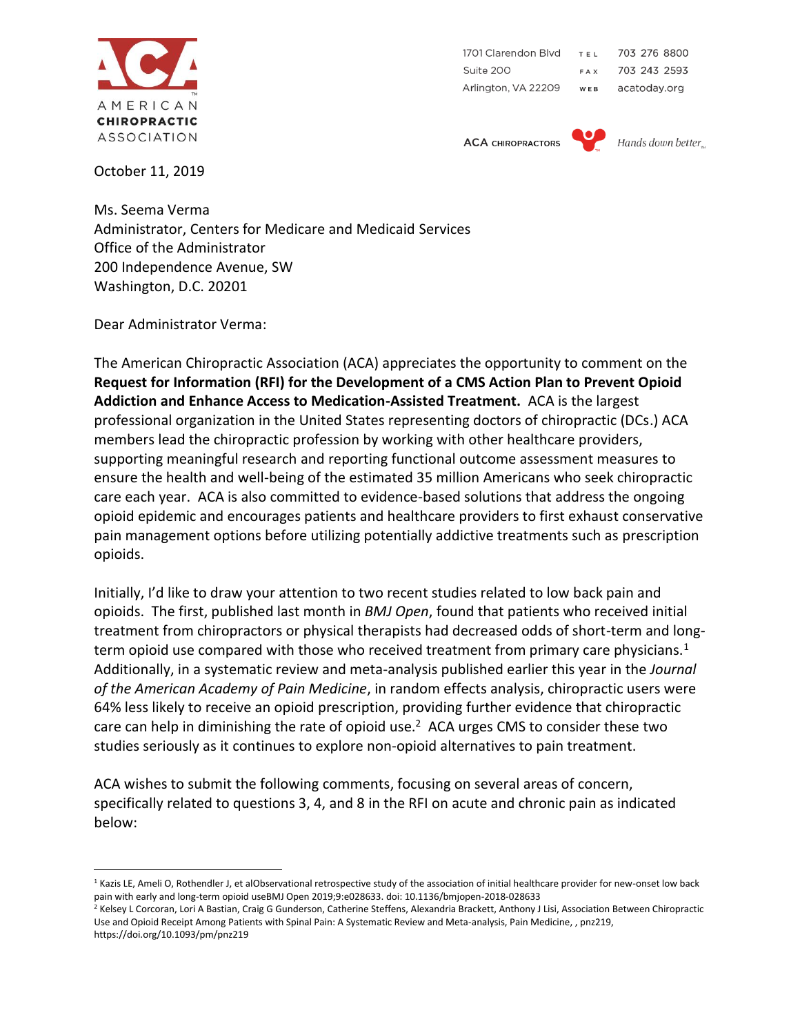

October 11, 2019

703 276 8800 1701 Clarendon Blvd T E L Suite 200 703 243 2593 FAX Arlington, VA 22209 WEB acatoday.org

**ACA CHIROPRACTORS** 



Hands down better.

Ms. Seema Verma

Administrator, Centers for Medicare and Medicaid Services Office of the Administrator 200 Independence Avenue, SW Washington, D.C. 20201

Dear Administrator Verma:

The American Chiropractic Association (ACA) appreciates the opportunity to comment on the **Request for Information (RFI) for the Development of a CMS Action Plan to Prevent Opioid Addiction and Enhance Access to Medication-Assisted Treatment.** ACA is the largest professional organization in the United States representing doctors of chiropractic (DCs.) ACA members lead the chiropractic profession by working with other healthcare providers, supporting meaningful research and reporting functional outcome assessment measures to ensure the health and well-being of the estimated 35 million Americans who seek chiropractic care each year. ACA is also committed to evidence-based solutions that address the ongoing opioid epidemic and encourages patients and healthcare providers to first exhaust conservative pain management options before utilizing potentially addictive treatments such as prescription opioids.

Initially, I'd like to draw your attention to two recent studies related to low back pain and opioids. The first, published last month in *BMJ Open*, found that patients who received initial treatment from chiropractors or physical therapists had decreased odds of short-term and longterm opioid use compared with those who received treatment from primary care physicians.<sup>1</sup> Additionally, in a systematic review and meta-analysis published earlier this year in the *Journal of the American Academy of Pain Medicine*, in random effects analysis, chiropractic users were 64% less likely to receive an opioid prescription, providing further evidence that chiropractic care can help in diminishing the rate of opioid use.<sup>2</sup> ACA urges CMS to consider these two studies seriously as it continues to explore non-opioid alternatives to pain treatment.

ACA wishes to submit the following comments, focusing on several areas of concern, specifically related to questions 3, 4, and 8 in the RFI on acute and chronic pain as indicated below:

<sup>&</sup>lt;sup>1</sup> Kazis LE, Ameli O, Rothendler J, et alObservational retrospective study of the association of initial healthcare provider for new-onset low back pain with early and long-term opioid useBMJ Open 2019;9:e028633. doi: 10.1136/bmjopen-2018-028633

<sup>&</sup>lt;sup>2</sup> Kelsey L Corcoran, Lori A Bastian, Craig G Gunderson, Catherine Steffens, Alexandria Brackett, Anthony J Lisi, Association Between Chiropractic Use and Opioid Receipt Among Patients with Spinal Pain: A Systematic Review and Meta-analysis, Pain Medicine, , pnz219, https://doi.org/10.1093/pm/pnz219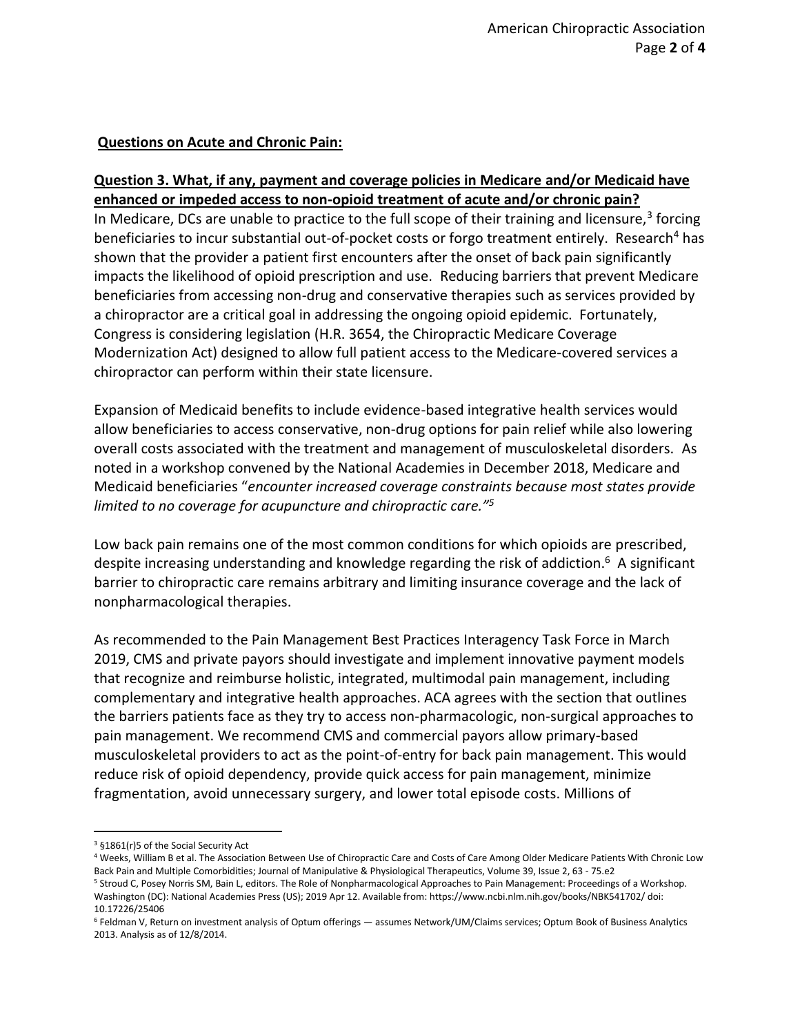#### **Questions on Acute and Chronic Pain:**

### **Question 3. What, if any, payment and coverage policies in Medicare and/or Medicaid have enhanced or impeded access to non-opioid treatment of acute and/or chronic pain?**

In Medicare, DCs are unable to practice to the full scope of their training and licensure,<sup>3</sup> forcing beneficiaries to incur substantial out-of-pocket costs or forgo treatment entirely. Research<sup>4</sup> has shown that the provider a patient first encounters after the onset of back pain significantly impacts the likelihood of opioid prescription and use. Reducing barriers that prevent Medicare beneficiaries from accessing non-drug and conservative therapies such as services provided by a chiropractor are a critical goal in addressing the ongoing opioid epidemic. Fortunately, Congress is considering legislation (H.R. 3654, the Chiropractic Medicare Coverage Modernization Act) designed to allow full patient access to the Medicare-covered services a chiropractor can perform within their state licensure.

Expansion of Medicaid benefits to include evidence-based integrative health services would allow beneficiaries to access conservative, non-drug options for pain relief while also lowering overall costs associated with the treatment and management of musculoskeletal disorders. As noted in a workshop convened by the National Academies in December 2018, Medicare and Medicaid beneficiaries "*encounter increased coverage constraints because most states provide limited to no coverage for acupuncture and chiropractic care."<sup>5</sup>*

Low back pain remains one of the most common conditions for which opioids are prescribed, despite increasing understanding and knowledge regarding the risk of addiction.<sup>6</sup> A significant barrier to chiropractic care remains arbitrary and limiting insurance coverage and the lack of nonpharmacological therapies.

As recommended to the Pain Management Best Practices Interagency Task Force in March 2019, CMS and private payors should investigate and implement innovative payment models that recognize and reimburse holistic, integrated, multimodal pain management, including complementary and integrative health approaches. ACA agrees with the section that outlines the barriers patients face as they try to access non-pharmacologic, non-surgical approaches to pain management. We recommend CMS and commercial payors allow primary-based musculoskeletal providers to act as the point-of-entry for back pain management. This would reduce risk of opioid dependency, provide quick access for pain management, minimize fragmentation, avoid unnecessary surgery, and lower total episode costs. Millions of

<sup>3</sup> §1861(r)5 of the Social Security Act

<sup>4</sup> Weeks, William B et al. The Association Between Use of Chiropractic Care and Costs of Care Among Older Medicare Patients With Chronic Low Back Pain and Multiple Comorbidities; Journal of Manipulative & Physiological Therapeutics, Volume 39, Issue 2, 63 - 75.e2

<sup>5</sup> Stroud C, Posey Norris SM, Bain L, editors. The Role of Nonpharmacological Approaches to Pain Management: Proceedings of a Workshop. Washington (DC): National Academies Press (US); 2019 Apr 12. Available from: https://www.ncbi.nlm.nih.gov/books/NBK541702/ doi: 10.17226/25406

<sup>6</sup> Feldman V, Return on investment analysis of Optum offerings — assumes Network/UM/Claims services; Optum Book of Business Analytics 2013. Analysis as of 12/8/2014.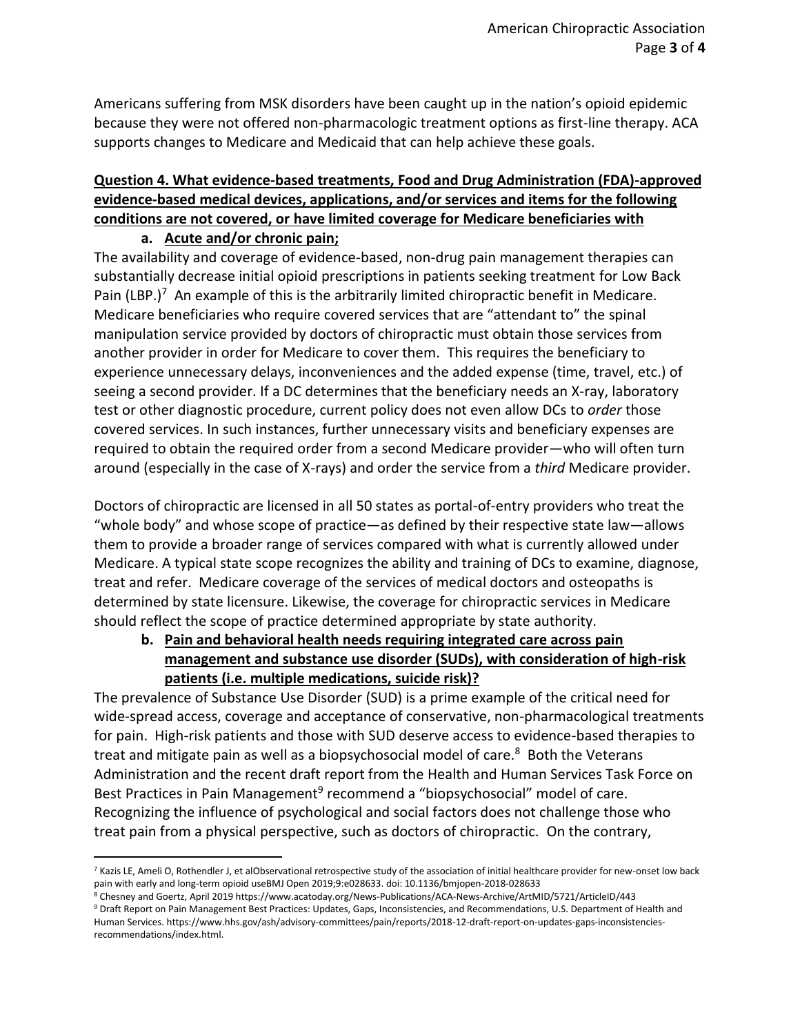Americans suffering from MSK disorders have been caught up in the nation's opioid epidemic because they were not offered non-pharmacologic treatment options as first-line therapy. ACA supports changes to Medicare and Medicaid that can help achieve these goals.

# **Question 4. What evidence-based treatments, Food and Drug Administration (FDA)-approved evidence-based medical devices, applications, and/or services and items for the following conditions are not covered, or have limited coverage for Medicare beneficiaries with**

## **a. Acute and/or chronic pain;**

The availability and coverage of evidence-based, non-drug pain management therapies can substantially decrease initial opioid prescriptions in patients seeking treatment for Low Back Pain (LBP.)<sup>7</sup> An example of this is the arbitrarily limited chiropractic benefit in Medicare. Medicare beneficiaries who require covered services that are "attendant to" the spinal manipulation service provided by doctors of chiropractic must obtain those services from another provider in order for Medicare to cover them. This requires the beneficiary to experience unnecessary delays, inconveniences and the added expense (time, travel, etc.) of seeing a second provider. If a DC determines that the beneficiary needs an X-ray, laboratory test or other diagnostic procedure, current policy does not even allow DCs to *order* those covered services. In such instances, further unnecessary visits and beneficiary expenses are required to obtain the required order from a second Medicare provider—who will often turn around (especially in the case of X-rays) and order the service from a *third* Medicare provider.

Doctors of chiropractic are licensed in all 50 states as portal-of-entry providers who treat the "whole body" and whose scope of practice—as defined by their respective state law—allows them to provide a broader range of services compared with what is currently allowed under Medicare. A typical state scope recognizes the ability and training of DCs to examine, diagnose, treat and refer. Medicare coverage of the services of medical doctors and osteopaths is determined by state licensure. Likewise, the coverage for chiropractic services in Medicare should reflect the scope of practice determined appropriate by state authority.

**b. Pain and behavioral health needs requiring integrated care across pain management and substance use disorder (SUDs), with consideration of high-risk patients (i.e. multiple medications, suicide risk)?**

The prevalence of Substance Use Disorder (SUD) is a prime example of the critical need for wide-spread access, coverage and acceptance of conservative, non-pharmacological treatments for pain. High-risk patients and those with SUD deserve access to evidence-based therapies to treat and mitigate pain as well as a biopsychosocial model of care.<sup>8</sup> Both the Veterans Administration and the recent draft report from the Health and Human Services Task Force on Best Practices in Pain Management<sup>9</sup> recommend a "biopsychosocial" model of care. Recognizing the influence of psychological and social factors does not challenge those who treat pain from a physical perspective, such as doctors of chiropractic. On the contrary,

<sup>7</sup> Kazis LE, Ameli O, Rothendler J, et alObservational retrospective study of the association of initial healthcare provider for new-onset low back pain with early and long-term opioid useBMJ Open 2019;9:e028633. doi: 10.1136/bmjopen-2018-028633

<sup>8</sup> Chesney and Goertz, April 2019 https://www.acatoday.org/News-Publications/ACA-News-Archive/ArtMID/5721/ArticleID/443

<sup>9</sup> Draft Report on Pain Management Best Practices: Updates, Gaps, Inconsistencies, and Recommendations, U.S. Department of Health and Human Services. https://www.hhs.gov/ash/advisory-committees/pain/reports/2018-12-draft-report-on-updates-gaps-inconsistenciesrecommendations/index.html.